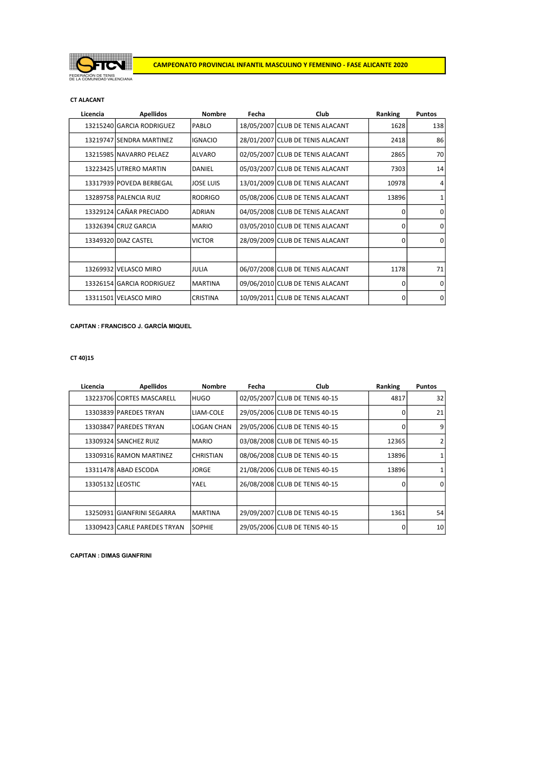

CT ALACANT

| Licencia | <b>Apellidos</b>          | <b>Nombre</b>   | Fecha | <b>Club</b>                      | Ranking      | <b>Puntos</b> |
|----------|---------------------------|-----------------|-------|----------------------------------|--------------|---------------|
|          | 13215240 GARCIA RODRIGUEZ | <b>PABLO</b>    |       | 18/05/2007 CLUB DE TENIS ALACANT | 1628         | 138           |
|          | 13219747 SENDRA MARTINEZ  | lignacio        |       | 28/01/2007 CLUB DE TENIS ALACANT | 2418         | 86            |
|          | 13215985 NAVARRO PELAEZ   | <b>ALVARO</b>   |       | 02/05/2007 CLUB DE TENIS ALACANT | 2865         | 70            |
|          | 13223425 UTRERO MARTIN    | <b>DANIEL</b>   |       | 05/03/2007 CLUB DE TENIS ALACANT | 7303         | 14            |
|          | 13317939 POVEDA BERBEGAL  | IJOSE LUIS      |       | 13/01/2009 CLUB DE TENIS ALACANT | 10978        | 4             |
|          | 13289758 PALENCIA RUIZ    | <b>RODRIGO</b>  |       | 05/08/2006 CLUB DE TENIS ALACANT | 13896        | 1             |
|          | 13329124 CAÑAR PRECIADO   | <b>ADRIAN</b>   |       | 04/05/2008 CLUB DE TENIS ALACANT | <sup>0</sup> | $\Omega$      |
|          | 13326394 CRUZ GARCIA      | <b>MARIO</b>    |       | 03/05/2010 CLUB DE TENIS ALACANT | 0            | $\Omega$      |
|          | 13349320 DIAZ CASTEL      | <b>IVICTOR</b>  |       | 28/09/2009 CLUB DE TENIS ALACANT | $\Omega$     | $\Omega$      |
|          |                           |                 |       |                                  |              |               |
|          | 13269932 VELASCO MIRO     | IJULIA          |       | 06/07/2008 CLUB DE TENIS ALACANT | 1178         | 71            |
|          | 13326154 GARCIA RODRIGUEZ | <b>IMARTINA</b> |       | 09/06/2010 CLUB DE TENIS ALACANT | $\Omega$     | $\mathbf 0$   |
|          | 13311501 VELASCO MIRO     | <b>CRISTINA</b> |       | 10/09/2011 CLUB DE TENIS ALACANT | $\Omega$     | 0             |

CAPITAN : FRANCISCO J. GARCÍA MIQUEL

CT 40)15

| Licencia         | <b>Apellidos</b>             | <b>Nombre</b>   | Fecha | Club                           | Ranking      | <b>Puntos</b> |
|------------------|------------------------------|-----------------|-------|--------------------------------|--------------|---------------|
|                  | 13223706 CORTES MASCARELL    | IHUGO           |       | 02/05/2007 CLUB DE TENIS 40-15 | 4817         | 32            |
|                  | 13303839 PAREDES TRYAN       | LIAM-COLE       |       | 29/05/2006 CLUB DE TENIS 40-15 | 0            | 21            |
|                  | 13303847 PAREDES TRYAN       | LOGAN CHAN      |       | 29/05/2006 CLUB DE TENIS 40-15 | 0            | 9             |
|                  | 13309324 SANCHEZ RUIZ        | IMARIO          |       | 03/08/2008 CLUB DE TENIS 40-15 | 12365        |               |
|                  | 13309316 RAMON MARTINEZ      | ICHRISTIAN      |       | 08/06/2008 CLUB DE TENIS 40-15 | 13896        |               |
|                  | 13311478 ABAD ESCODA         | IJORGE          |       | 21/08/2006 CLUB DE TENIS 40-15 | 13896        |               |
| 13305132 LEOSTIC |                              | <b>YAEL</b>     |       | 26/08/2008 CLUB DE TENIS 40-15 | <sup>0</sup> | $\Omega$      |
|                  |                              |                 |       |                                |              |               |
|                  | 13250931 GIANFRINI SEGARRA   | <b>IMARTINA</b> |       | 29/09/2007 CLUB DE TENIS 40-15 | 1361         | 54            |
|                  | 13309423 CARLE PAREDES TRYAN | ISOPHIE         |       | 29/05/2006 CLUB DE TENIS 40-15 | 0            | 10            |

CAPITAN : DIMAS GIANFRINI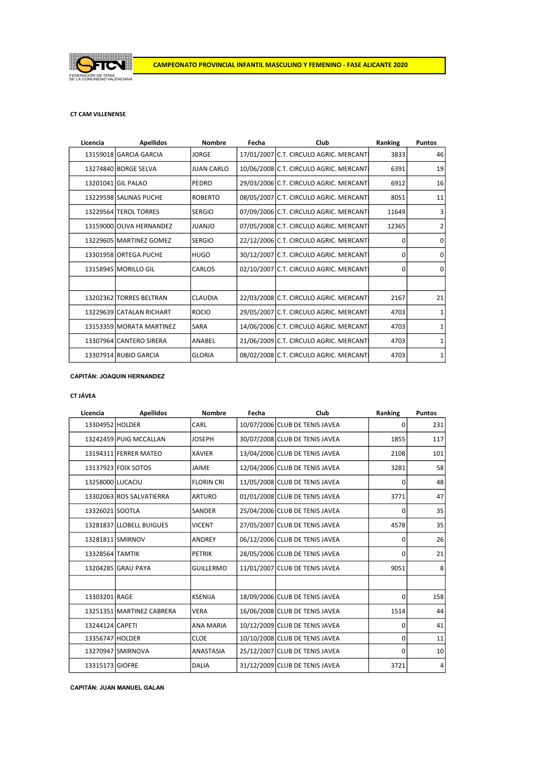

## CT CAM VILLENENSE

| 13159018 GARCIA GARCIA<br>17/01/2007 C.T. CIRCULO AGRIC. MERCANT<br>3833<br><b>JORGE</b><br><b>JUAN CARLO</b><br>10/06/2008 C.T. CIRCULO AGRIC. MERCANT<br>6391<br>13274840 BORGE SELVA<br>13201041 GIL PALAO<br>29/03/2006 C.T. CIRCULO AGRIC. MERCANT<br>PEDRO<br>6912<br>13229598 SALINAS PUCHE<br><b>ROBERTO</b><br>08/05/2007 C.T. CIRCULO AGRIC. MERCANTI<br>8051<br>07/09/2006 C.T. CIRCULO AGRIC. MERCANT<br>11649<br>13229564 TEROL TORRES<br><b>SERGIO</b><br>07/05/2008 C.T. CIRCULO AGRIC. MERCANT<br>13159000 OLIVA HERNANDEZ<br>12365<br>JUANJO<br>13229605 MARTINEZ GOMEZ<br><b>SERGIO</b><br>22/12/2006 C.T. CIRCULO AGRIC. MERCANT<br>0<br>13301958 ORTEGA PUCHE<br>30/12/2007 C.T. CIRCULO AGRIC. MERCANT<br><b>HUGO</b><br>0<br>02/10/2007 C.T. CIRCULO AGRIC. MERCANT<br>13158945 MORILLO GIL<br>CARLOS<br>$\Omega$<br>22/03/2008 C.T. CIRCULO AGRIC. MERCANT<br><b>CLAUDIA</b><br>13202362 TORRES BELTRAN<br>2167<br><b>ROCIO</b><br>29/05/2007 C.T. CIRCULO AGRIC. MERCANT<br>13229639 CATALAN RICHART<br>4703<br>14/06/2006 C.T. CIRCULO AGRIC. MERCANT<br>13153359 MORATA MARTINEZ<br>4703<br>SARA<br>21/06/2009 C.T. CIRCULO AGRIC. MERCANT<br>13307964 CANTERO SIRERA<br>4703<br>ANABEL | Licencia | <b>Apellidos</b>      | <b>Nombre</b> | Fecha | Club                                   | Ranking | <b>Puntos</b> |
|-------------------------------------------------------------------------------------------------------------------------------------------------------------------------------------------------------------------------------------------------------------------------------------------------------------------------------------------------------------------------------------------------------------------------------------------------------------------------------------------------------------------------------------------------------------------------------------------------------------------------------------------------------------------------------------------------------------------------------------------------------------------------------------------------------------------------------------------------------------------------------------------------------------------------------------------------------------------------------------------------------------------------------------------------------------------------------------------------------------------------------------------------------------------------------------------------------------------|----------|-----------------------|---------------|-------|----------------------------------------|---------|---------------|
|                                                                                                                                                                                                                                                                                                                                                                                                                                                                                                                                                                                                                                                                                                                                                                                                                                                                                                                                                                                                                                                                                                                                                                                                                   |          |                       |               |       |                                        |         | 46            |
|                                                                                                                                                                                                                                                                                                                                                                                                                                                                                                                                                                                                                                                                                                                                                                                                                                                                                                                                                                                                                                                                                                                                                                                                                   |          |                       |               |       |                                        |         | 19            |
|                                                                                                                                                                                                                                                                                                                                                                                                                                                                                                                                                                                                                                                                                                                                                                                                                                                                                                                                                                                                                                                                                                                                                                                                                   |          |                       |               |       |                                        |         | 16            |
|                                                                                                                                                                                                                                                                                                                                                                                                                                                                                                                                                                                                                                                                                                                                                                                                                                                                                                                                                                                                                                                                                                                                                                                                                   |          |                       |               |       |                                        |         | 11            |
|                                                                                                                                                                                                                                                                                                                                                                                                                                                                                                                                                                                                                                                                                                                                                                                                                                                                                                                                                                                                                                                                                                                                                                                                                   |          |                       |               |       |                                        |         | 3             |
|                                                                                                                                                                                                                                                                                                                                                                                                                                                                                                                                                                                                                                                                                                                                                                                                                                                                                                                                                                                                                                                                                                                                                                                                                   |          |                       |               |       |                                        |         | 2             |
|                                                                                                                                                                                                                                                                                                                                                                                                                                                                                                                                                                                                                                                                                                                                                                                                                                                                                                                                                                                                                                                                                                                                                                                                                   |          |                       |               |       |                                        |         | $\Omega$      |
|                                                                                                                                                                                                                                                                                                                                                                                                                                                                                                                                                                                                                                                                                                                                                                                                                                                                                                                                                                                                                                                                                                                                                                                                                   |          |                       |               |       |                                        |         | $\mathbf 0$   |
|                                                                                                                                                                                                                                                                                                                                                                                                                                                                                                                                                                                                                                                                                                                                                                                                                                                                                                                                                                                                                                                                                                                                                                                                                   |          |                       |               |       |                                        |         | 0             |
|                                                                                                                                                                                                                                                                                                                                                                                                                                                                                                                                                                                                                                                                                                                                                                                                                                                                                                                                                                                                                                                                                                                                                                                                                   |          |                       |               |       |                                        |         |               |
|                                                                                                                                                                                                                                                                                                                                                                                                                                                                                                                                                                                                                                                                                                                                                                                                                                                                                                                                                                                                                                                                                                                                                                                                                   |          |                       |               |       |                                        |         | 21            |
|                                                                                                                                                                                                                                                                                                                                                                                                                                                                                                                                                                                                                                                                                                                                                                                                                                                                                                                                                                                                                                                                                                                                                                                                                   |          |                       |               |       |                                        |         | 1             |
|                                                                                                                                                                                                                                                                                                                                                                                                                                                                                                                                                                                                                                                                                                                                                                                                                                                                                                                                                                                                                                                                                                                                                                                                                   |          |                       |               |       |                                        |         | 1             |
|                                                                                                                                                                                                                                                                                                                                                                                                                                                                                                                                                                                                                                                                                                                                                                                                                                                                                                                                                                                                                                                                                                                                                                                                                   |          |                       |               |       |                                        |         | 1             |
|                                                                                                                                                                                                                                                                                                                                                                                                                                                                                                                                                                                                                                                                                                                                                                                                                                                                                                                                                                                                                                                                                                                                                                                                                   |          | 13307914 RUBIO GARCIA | <b>GLORIA</b> |       | 08/02/2008 C.T. CIRCULO AGRIC. MERCANT | 4703    | 1             |

### CAPITÁN: JOAQUIN HERNANDEZ

# CT JÁVEA

| Licencia         | <b>Apellidos</b>          | <b>Nombre</b>     | Fecha | Club                           | Ranking     | <b>Puntos</b> |
|------------------|---------------------------|-------------------|-------|--------------------------------|-------------|---------------|
| 13304952 HOLDER  |                           | CARL              |       | 10/07/2006 CLUB DE TENIS JAVEA | $\Omega$    | 231           |
|                  | 13242459 PUIG MCCALLAN    | <b>JOSEPH</b>     |       | 30/07/2008 CLUB DE TENIS JAVEA | 1855        | 117           |
|                  | 13194311 FERRER MATEO     | <b>XAVIER</b>     |       | 13/04/2006 CLUB DE TENIS JAVEA | 2108        | 101           |
|                  | 13137923 FOIX SOTOS       | JAIME             |       | 12/04/2006 CLUB DE TENIS JAVEA | 3281        | 58            |
| 13258000 LUCACIU |                           | <b>FLORIN CRI</b> |       | 11/05/2008 CLUB DE TENIS JAVEA | $\mathbf 0$ | 48            |
|                  | 13302063 ROS SALVATIERRA  | <b>ARTURO</b>     |       | 01/01/2008 CLUB DE TENIS JAVEA | 3771        | 47            |
| 13326021 SOOTLA  |                           | SANDER            |       | 25/04/2006 CLUB DE TENIS JAVEA | $\mathbf 0$ | 35            |
|                  | 13281837 LLOBELL BUIGUES  | <b>VICENT</b>     |       | 27/05/2007 CLUB DE TENIS JAVEA | 4578        | 35            |
| 13281811 SMIRNOV |                           | ANDREY            |       | 06/12/2006 CLUB DE TENIS JAVEA | $\mathbf 0$ | 26            |
| 13328564 TAMTIK  |                           | <b>PETRIK</b>     |       | 28/05/2006 CLUB DE TENIS JAVEA | 0           | 21            |
|                  | 13204285 GRAU PAYA        | <b>GUILLERMO</b>  |       | 11/01/2007 CLUB DE TENIS JAVEA | 9051        | 8             |
|                  |                           |                   |       |                                |             |               |
| 13303201 RAGE    |                           | <b>KSENIJA</b>    |       | 18/09/2006 CLUB DE TENIS JAVEA | $\Omega$    | 158           |
|                  | 13251351 MARTINEZ CABRERA | <b>VERA</b>       |       | 16/06/2008 CLUB DE TENIS JAVEA | 1514        | 44            |
| 13244124 CAPETI  |                           | <b>ANA MARIA</b>  |       | 10/12/2009 CLUB DE TENIS JAVEA | $\Omega$    | 41            |
| 13356747 HOLDER  |                           | <b>CLOE</b>       |       | 10/10/2008 CLUB DE TENIS JAVEA | $\mathbf 0$ | 11            |
|                  | 13270947 SMIRNOVA         | ANASTASIA         |       | 25/12/2007 CLUB DE TENIS JAVEA | $\Omega$    | 10            |
| 13315173 GIOFRE  |                           | <b>DALIA</b>      |       | 31/12/2009 CLUB DE TENIS JAVEA | 3721        | 4             |

CAPITÁN: JUAN MANUEL GALAN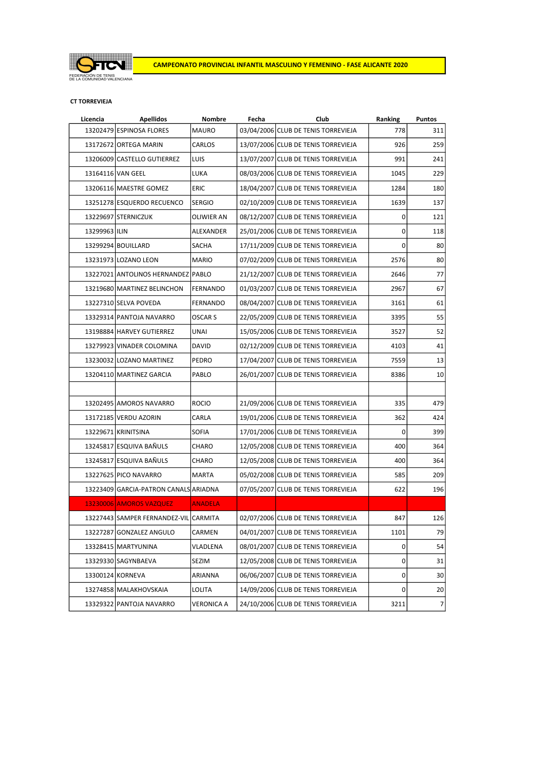

#### CT TORREVIEJA

| Licencia      | <b>Apellidos</b>                      | Nombre            | Fecha      | Club                                | Ranking | <b>Puntos</b>  |
|---------------|---------------------------------------|-------------------|------------|-------------------------------------|---------|----------------|
|               | 13202479 ESPINOSA FLORES              | <b>MAURO</b>      |            | 03/04/2006 CLUB DE TENIS TORREVIEJA | 778     | 311            |
|               | 13172672 ORTEGA MARIN                 | CARLOS            |            | 13/07/2006 CLUB DE TENIS TORREVIEJA | 926     | 259            |
|               | 13206009 CASTELLO GUTIERREZ           | LUIS              |            | 13/07/2007 CLUB DE TENIS TORREVIEJA | 991     | 241            |
|               | 13164116 VAN GEEL                     | <b>LUKA</b>       |            | 08/03/2006 CLUB DE TENIS TORREVIEJA | 1045    | 229            |
|               | 13206116 MAESTRE GOMEZ                | <b>ERIC</b>       |            | 18/04/2007 CLUB DE TENIS TORREVIEJA | 1284    | 180            |
|               | 13251278 ESQUERDO RECUENCO            | <b>SERGIO</b>     |            | 02/10/2009 CLUB DE TENIS TORREVIEJA | 1639    | 137            |
|               | 13229697 STERNICZUK                   | <b>OLIWIER AN</b> |            | 08/12/2007 CLUB DE TENIS TORREVIEJA | 0       | 121            |
| 13299963 ILIN |                                       | ALEXANDER         |            | 25/01/2006 CLUB DE TENIS TORREVIEJA | 0       | 118            |
|               | 13299294 BOUILLARD                    | <b>SACHA</b>      |            | 17/11/2009 CLUB DE TENIS TORREVIEJA | 0       | 80             |
|               | 13231973 LOZANO LEON                  | <b>MARIO</b>      |            | 07/02/2009 CLUB DE TENIS TORREVIEJA | 2576    | 80             |
|               | 13227021 ANTOLINOS HERNANDEZ PABLO    |                   |            | 21/12/2007 CLUB DE TENIS TORREVIEJA | 2646    | 77             |
|               | 13219680 MARTINEZ BELINCHON           | FERNANDO          |            | 01/03/2007 CLUB DE TENIS TORREVIEJA | 2967    | 67             |
|               | 13227310 SELVA POVEDA                 | <b>FERNANDO</b>   |            | 08/04/2007 CLUB DE TENIS TORREVIEJA | 3161    | 61             |
|               | 13329314 PANTOJA NAVARRO              | <b>OSCAR S</b>    |            | 22/05/2009 CLUB DE TENIS TORREVIEJA | 3395    | 55             |
|               | 13198884 HARVEY GUTIERREZ             | <b>UNAI</b>       |            | 15/05/2006 CLUB DE TENIS TORREVIEJA | 3527    | 52             |
|               | 13279923 VINADER COLOMINA             | <b>DAVID</b>      |            | 02/12/2009 CLUB DE TENIS TORREVIEJA | 4103    | 41             |
|               | 13230032 LOZANO MARTINEZ              | PEDRO             |            | 17/04/2007 CLUB DE TENIS TORREVIEJA | 7559    | 13             |
|               | 13204110 MARTINEZ GARCIA              | PABLO             |            | 26/01/2007 CLUB DE TENIS TORREVIEJA | 8386    | 10             |
|               |                                       |                   |            |                                     |         |                |
|               | 13202495 AMOROS NAVARRO               | <b>ROCIO</b>      |            | 21/09/2006 CLUB DE TENIS TORREVIEJA | 335     | 479            |
|               | 13172185 VERDU AZORIN                 | CARLA             |            | 19/01/2006 CLUB DE TENIS TORREVIEJA | 362     | 424            |
|               | 13229671 KRINITSINA                   | <b>SOFIA</b>      |            | 17/01/2006 CLUB DE TENIS TORREVIEJA | 0       | 399            |
|               | 13245817 ESQUIVA BAÑULS               | CHARO             |            | 12/05/2008 CLUB DE TENIS TORREVIEJA | 400     | 364            |
|               | 13245817 ESQUIVA BAÑULS               | CHARO             |            | 12/05/2008 CLUB DE TENIS TORREVIEJA | 400     | 364            |
|               | 13227625 PICO NAVARRO                 | MARTA             |            | 05/02/2008 CLUB DE TENIS TORREVIEJA | 585     | 209            |
|               | 13223409 GARCIA-PATRON CANALS ARIADNA |                   |            | 07/05/2007 CLUB DE TENIS TORREVIEJA | 622     | 196            |
|               | 13230006 AMOROS VAZQUEZ               | <b>ANADELA</b>    |            |                                     |         |                |
|               | 13227443 SAMPER FERNANDEZ-VIL CARMITA |                   |            | 02/07/2006 CLUB DE TENIS TORREVIEJA | 847     | 126            |
|               | 13227287 GONZALEZ ANGULO              | CARMEN            | 04/01/2007 | CLUB DE TENIS TORREVIEJA            | 1101    | 79             |
|               | 13328415 MARTYUNINA                   | VLADLENA          |            | 08/01/2007 CLUB DE TENIS TORREVIEJA | 0       | 54             |
|               | 13329330 SAGYNBAEVA                   | SEZIM             |            | 12/05/2008 CLUB DE TENIS TORREVIEJA | 0       | 31             |
|               | 13300124 KORNEVA                      | ARIANNA           |            | 06/06/2007 CLUB DE TENIS TORREVIEJA | 0       | 30             |
|               | 13274858 MALAKHOVSKAIA                | LOLITA            |            | 14/09/2006 CLUB DE TENIS TORREVIEJA | 0       | 20             |
|               | 13329322 PANTOJA NAVARRO              | VERONICA A        |            | 24/10/2006 CLUB DE TENIS TORREVIEJA | 3211    | $\overline{7}$ |